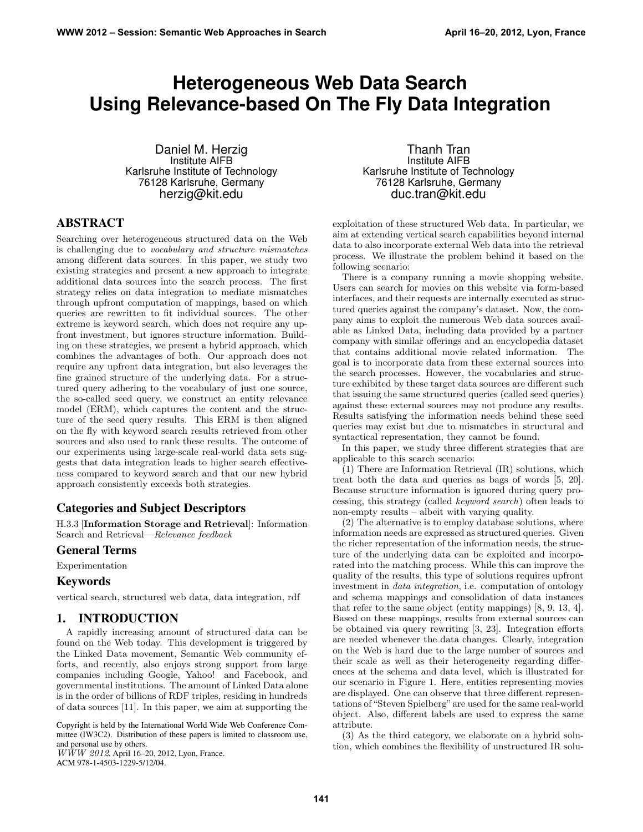# **Heterogeneous Web Data Search Using Relevance-based On The Fly Data Integration**

Daniel M. Herzig Institute AIFB Karlsruhe Institute of Technology 76128 Karlsruhe, Germany herzig@kit.edu

# ABSTRACT

Searching over heterogeneous structured data on the Web is challenging due to vocabulary and structure mismatches among different data sources. In this paper, we study two existing strategies and present a new approach to integrate additional data sources into the search process. The first strategy relies on data integration to mediate mismatches through upfront computation of mappings, based on which queries are rewritten to fit individual sources. The other extreme is keyword search, which does not require any upfront investment, but ignores structure information. Building on these strategies, we present a hybrid approach, which combines the advantages of both. Our approach does not require any upfront data integration, but also leverages the fine grained structure of the underlying data. For a structured query adhering to the vocabulary of just one source, the so-called seed query, we construct an entity relevance model (ERM), which captures the content and the structure of the seed query results. This ERM is then aligned on the fly with keyword search results retrieved from other sources and also used to rank these results. The outcome of our experiments using large-scale real-world data sets suggests that data integration leads to higher search effectiveness compared to keyword search and that our new hybrid approach consistently exceeds both strategies.

# Categories and Subject Descriptors

H.3.3 [Information Storage and Retrieval]: Information Search and Retrieval—Relevance feedback

# General Terms

Experimentation

#### Keywords

vertical search, structured web data, data integration, rdf

# 1. INTRODUCTION

A rapidly increasing amount of structured data can be found on the Web today. This development is triggered by the Linked Data movement, Semantic Web community efforts, and recently, also enjoys strong support from large companies including Google, Yahoo! and Facebook, and governmental institutions. The amount of Linked Data alone is in the order of billions of RDF triples, residing in hundreds of data sources [11]. In this paper, we aim at supporting the

Copyright is held by the International World Wide Web Conference Committee (IW3C2). Distribution of these papers is limited to classroom use, and personal use by others.

WWW 2012, April 16–20, 2012, Lyon, France.

ACM 978-1-4503-1229-5/12/04.

Thanh Tran Institute AIFB Karlsruhe Institute of Technology 76128 Karlsruhe, Germany duc.tran@kit.edu

exploitation of these structured Web data. In particular, we aim at extending vertical search capabilities beyond internal data to also incorporate external Web data into the retrieval process. We illustrate the problem behind it based on the following scenario:

There is a company running a movie shopping website. Users can search for movies on this website via form-based interfaces, and their requests are internally executed as structured queries against the company's dataset. Now, the company aims to exploit the numerous Web data sources available as Linked Data, including data provided by a partner company with similar offerings and an encyclopedia dataset that contains additional movie related information. The goal is to incorporate data from these external sources into the search processes. However, the vocabularies and structure exhibited by these target data sources are different such that issuing the same structured queries (called seed queries) against these external sources may not produce any results. Results satisfying the information needs behind these seed queries may exist but due to mismatches in structural and syntactical representation, they cannot be found.

In this paper, we study three different strategies that are applicable to this search scenario:

(1) There are Information Retrieval (IR) solutions, which treat both the data and queries as bags of words [5, 20]. Because structure information is ignored during query processing, this strategy (called keyword search) often leads to non-empty results – albeit with varying quality.

(2) The alternative is to employ database solutions, where information needs are expressed as structured queries. Given the richer representation of the information needs, the structure of the underlying data can be exploited and incorporated into the matching process. While this can improve the quality of the results, this type of solutions requires upfront investment in data integration, i.e. computation of ontology and schema mappings and consolidation of data instances that refer to the same object (entity mappings) [8, 9, 13, 4]. Based on these mappings, results from external sources can be obtained via query rewriting [3, 23]. Integration efforts are needed whenever the data changes. Clearly, integration on the Web is hard due to the large number of sources and their scale as well as their heterogeneity regarding differences at the schema and data level, which is illustrated for our scenario in Figure 1. Here, entities representing movies are displayed. One can observe that three different representations of "Steven Spielberg" are used for the same real-world object. Also, different labels are used to express the same attribute.

(3) As the third category, we elaborate on a hybrid solution, which combines the flexibility of unstructured IR solu-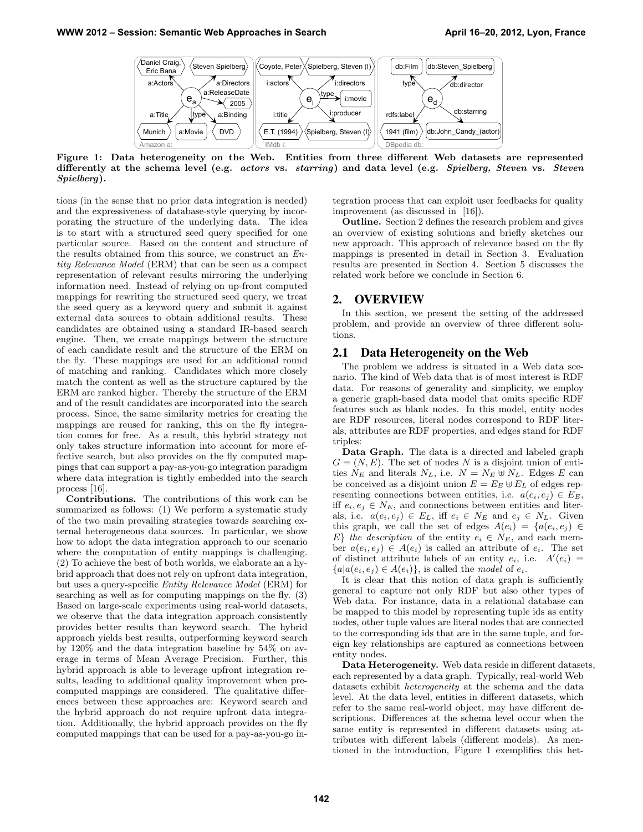

Figure 1: Data heterogeneity on the Web. Entities from three different Web datasets are represented differently at the schema level (e.g. *actors* vs. *starring*) and data level (e.g. *Spielberg, Steven* vs. *Steven* Spielberg).

tions (in the sense that no prior data integration is needed) and the expressiveness of database-style querying by incorporating the structure of the underlying data. The idea is to start with a structured seed query specified for one particular source. Based on the content and structure of the results obtained from this source, we construct an Entity Relevance Model (ERM) that can be seen as a compact representation of relevant results mirroring the underlying information need. Instead of relying on up-front computed mappings for rewriting the structured seed query, we treat the seed query as a keyword query and submit it against external data sources to obtain additional results. These candidates are obtained using a standard IR-based search engine. Then, we create mappings between the structure of each candidate result and the structure of the ERM on the fly. These mappings are used for an additional round of matching and ranking. Candidates which more closely match the content as well as the structure captured by the ERM are ranked higher. Thereby the structure of the ERM and of the result candidates are incorporated into the search process. Since, the same similarity metrics for creating the mappings are reused for ranking, this on the fly integration comes for free. As a result, this hybrid strategy not only takes structure information into account for more effective search, but also provides on the fly computed mappings that can support a pay-as-you-go integration paradigm where data integration is tightly embedded into the search process [16].

Contributions. The contributions of this work can be summarized as follows: (1) We perform a systematic study of the two main prevailing strategies towards searching external heterogeneous data sources. In particular, we show how to adopt the data integration approach to our scenario where the computation of entity mappings is challenging. (2) To achieve the best of both worlds, we elaborate an a hybrid approach that does not rely on upfront data integration, but uses a query-specific Entity Relevance Model (ERM) for searching as well as for computing mappings on the fly. (3) Based on large-scale experiments using real-world datasets, we observe that the data integration approach consistently provides better results than keyword search. The hybrid approach yields best results, outperforming keyword search by 120% and the data integration baseline by 54% on average in terms of Mean Average Precision. Further, this hybrid approach is able to leverage upfront integration results, leading to additional quality improvement when precomputed mappings are considered. The qualitative differences between these approaches are: Keyword search and the hybrid approach do not require upfront data integration. Additionally, the hybrid approach provides on the fly computed mappings that can be used for a pay-as-you-go integration process that can exploit user feedbacks for quality improvement (as discussed in [16]).

Outline. Section 2 defines the research problem and gives an overview of existing solutions and briefly sketches our new approach. This approach of relevance based on the fly mappings is presented in detail in Section 3. Evaluation results are presented in Section 4. Section 5 discusses the related work before we conclude in Section 6.

# 2. OVERVIEW

In this section, we present the setting of the addressed problem, and provide an overview of three different solutions.

# 2.1 Data Heterogeneity on the Web

The problem we address is situated in a Web data scenario. The kind of Web data that is of most interest is RDF data. For reasons of generality and simplicity, we employ a generic graph-based data model that omits specific RDF features such as blank nodes. In this model, entity nodes are RDF resources, literal nodes correspond to RDF literals, attributes are RDF properties, and edges stand for RDF triples:

Data Graph. The data is a directed and labeled graph  $G = (N, E)$ . The set of nodes N is a disjoint union of entities  $N_E$  and literals  $N_L$ , i.e.  $N = N_E \oplus N_L$ . Edges E can be conceived as a disjoint union  $E = E_E \oplus E_L$  of edges representing connections between entities, i.e.  $a(e_i, e_j) \in E_E$ , iff  $e_i, e_j \in N_E$ , and connections between entities and literals, i.e.  $a(e_i, e_j) \in E_L$ , iff  $e_i \in N_E$  and  $e_j \in N_L$ . Given this graph, we call the set of edges  $A(e_i) = \{a(e_i, e_j) \in$ E} the description of the entity  $e_i \in N_E$ , and each member  $a(e_i, e_j) \in A(e_i)$  is called an attribute of  $e_i$ . The set of distinct attribute labels of an entity  $e_i$ , i.e.  $A'(e_i) =$  ${a|a(e_i, e_j) \in A(e_i)}$ , is called the *model* of  $e_i$ .

It is clear that this notion of data graph is sufficiently general to capture not only RDF but also other types of Web data. For instance, data in a relational database can be mapped to this model by representing tuple ids as entity nodes, other tuple values are literal nodes that are connected to the corresponding ids that are in the same tuple, and foreign key relationships are captured as connections between entity nodes.

Data Heterogeneity. Web data reside in different datasets, each represented by a data graph. Typically, real-world Web datasets exhibit heterogeneity at the schema and the data level. At the data level, entities in different datasets, which refer to the same real-world object, may have different descriptions. Differences at the schema level occur when the same entity is represented in different datasets using attributes with different labels (different models). As mentioned in the introduction, Figure 1 exemplifies this het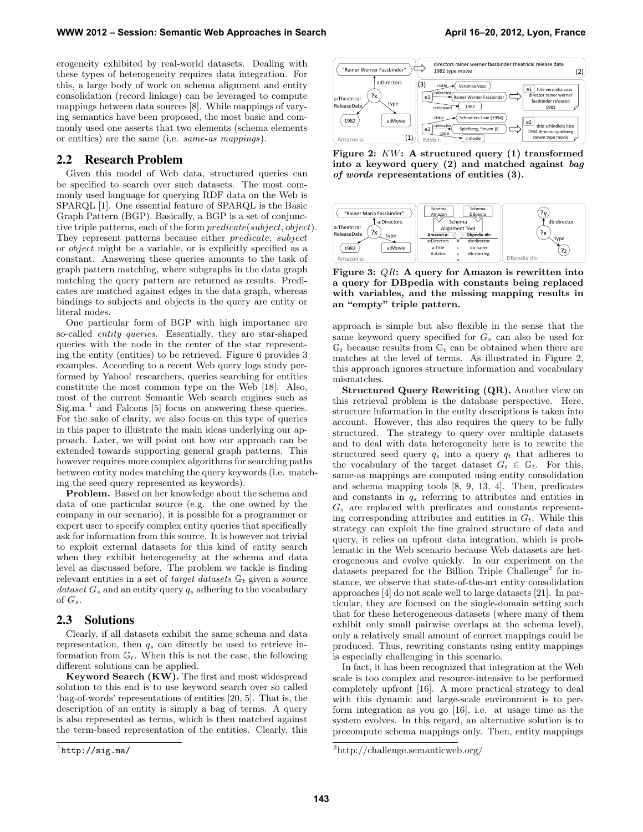erogeneity exhibited by real-world datasets. Dealing with these types of heterogeneity requires data integration. For this, a large body of work on schema alignment and entity consolidation (record linkage) can be leveraged to compute mappings between data sources [8]. While mappings of varying semantics have been proposed, the most basic and commonly used one asserts that two elements (schema elements or entities) are the same (i.e. same-as mappings).

#### 2.2 Research Problem

Given this model of Web data, structured queries can be specified to search over such datasets. The most commonly used language for querying RDF data on the Web is SPARQL [1]. One essential feature of SPARQL is the Basic Graph Pattern (BGP). Basically, a BGP is a set of conjunctive triple patterns, each of the form *predicate*(subject, object). They represent patterns because either predicate, subject or object might be a variable, or is explicitly specified as a constant. Answering these queries amounts to the task of graph pattern matching, where subgraphs in the data graph matching the query pattern are returned as results. Predicates are matched against edges in the data graph, whereas bindings to subjects and objects in the query are entity or literal nodes.

One particular form of BGP with high importance are so-called entity queries. Essentially, they are star-shaped queries with the node in the center of the star representing the entity (entities) to be retrieved. Figure 6 provides 3 examples. According to a recent Web query logs study performed by Yahoo! researchers, queries searching for entities constitute the most common type on the Web [18]. Also, most of the current Semantic Web search engines such as Sig.ma<sup>1</sup> and Falcons  $[5]$  focus on answering these queries. For the sake of clarity, we also focus on this type of queries in this paper to illustrate the main ideas underlying our approach. Later, we will point out how our approach can be extended towards supporting general graph patterns. This however requires more complex algorithms for searching paths between entity nodes matching the query keywords (i.e. matching the seed query represented as keywords).

Problem. Based on her knowledge about the schema and data of one particular source (e.g. the one owned by the company in our scenario), it is possible for a programmer or expert user to specify complex entity queries that specifically ask for information from this source. It is however not trivial to exploit external datasets for this kind of entity search when they exhibit heterogeneity at the schema and data level as discussed before. The problem we tackle is finding relevant entities in a set of *target datasets*  $\mathbb{G}_t$  given a *source* dataset  $G_s$  and an entity query  $q_s$  adhering to the vocabulary of  $G_s$ .

#### 2.3 Solutions

Clearly, if all datasets exhibit the same schema and data representation, then  $q_s$  can directly be used to retrieve information from  $\mathbb{G}_t$ . When this is not the case, the following different solutions can be applied.

Keyword Search (KW). The first and most widespread solution to this end is to use keyword search over so called 'bag-of-words' representations of entities [20, 5]. That is, the description of an entity is simply a bag of terms. A query is also represented as terms, which is then matched against the term-based representation of the entities. Clearly, this



Figure 2: KW: A structured query (1) transformed into a keyword query (2) and matched against bag of words representations of entities (3).



Figure 3: QR: A query for Amazon is rewritten into a query for DBpedia with constants being replaced with variables, and the missing mapping results in an "empty" triple pattern.

approach is simple but also flexible in the sense that the same keyword query specified for  $G_s$  can also be used for  $\mathbb{G}_t$  because results from  $\mathbb{G}_t$  can be obtained when there are matches at the level of terms. As illustrated in Figure 2, this approach ignores structure information and vocabulary mismatches.

Structured Query Rewriting (QR). Another view on this retrieval problem is the database perspective. Here, structure information in the entity descriptions is taken into account. However, this also requires the query to be fully structured. The strategy to query over multiple datasets and to deal with data heterogeneity here is to rewrite the structured seed query  $q_s$  into a query  $q_t$  that adheres to the vocabulary of the target dataset  $G_t \in \mathbb{G}_t$ . For this, same-as mappings are computed using entity consolidation and schema mapping tools [8, 9, 13, 4]. Then, predicates and constants in  $q_s$  referring to attributes and entities in  $G_s$  are replaced with predicates and constants representing corresponding attributes and entities in  $G_t$ . While this strategy can exploit the fine grained structure of data and query, it relies on upfront data integration, which is problematic in the Web scenario because Web datasets are heterogeneous and evolve quickly. In our experiment on the datasets prepared for the Billion Triple Challenge<sup>2</sup> for instance, we observe that state-of-the-art entity consolidation approaches [4] do not scale well to large datasets [21]. In particular, they are focused on the single-domain setting such that for these heterogeneous datasets (where many of them exhibit only small pairwise overlaps at the schema level), only a relatively small amount of correct mappings could be produced. Thus, rewriting constants using entity mappings is especially challenging in this scenario.

In fact, it has been recognized that integration at the Web scale is too complex and resource-intensive to be performed completely upfront [16]. A more practical strategy to deal with this dynamic and large-scale environment is to perform integration as you go [16], i.e. at usage time as the system evolves. In this regard, an alternative solution is to precompute schema mappings only. Then, entity mappings

 $\frac{1}{1}$ http://sig.ma/

<sup>2</sup>http://challenge.semanticweb.org/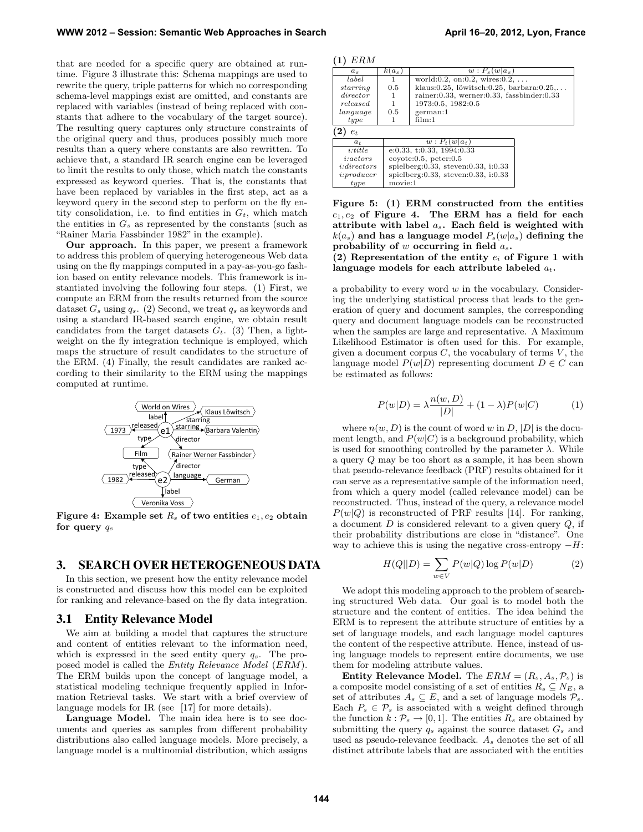that are needed for a specific query are obtained at runtime. Figure 3 illustrate this: Schema mappings are used to rewrite the query, triple patterns for which no corresponding schema-level mappings exist are omitted, and constants are replaced with variables (instead of being replaced with constants that adhere to the vocabulary of the target source). The resulting query captures only structure constraints of the original query and thus, produces possibly much more results than a query where constants are also rewritten. To achieve that, a standard IR search engine can be leveraged to limit the results to only those, which match the constants expressed as keyword queries. That is, the constants that have been replaced by variables in the first step, act as a keyword query in the second step to perform on the fly entity consolidation, i.e. to find entities in  $G_t$ , which match the entities in  $G_s$  as represented by the constants (such as "Rainer Maria Fassbinder 1982" in the example).

Our approach. In this paper, we present a framework to address this problem of querying heterogeneous Web data using on the fly mappings computed in a pay-as-you-go fashion based on entity relevance models. This framework is instantiated involving the following four steps. (1) First, we compute an ERM from the results returned from the source dataset  $G_s$  using  $q_s$ . (2) Second, we treat  $q_s$  as keywords and using a standard IR-based search engine, we obtain result candidates from the target datasets  $G_t$ . (3) Then, a lightweight on the fly integration technique is employed, which maps the structure of result candidates to the structure of the ERM. (4) Finally, the result candidates are ranked according to their similarity to the ERM using the mappings computed at runtime.



Figure 4: Example set  $R_s$  of two entities  $e_1, e_2$  obtain for query  $q_s$ 

### 3. SEARCH OVER HETEROGENEOUS DATA

In this section, we present how the entity relevance model is constructed and discuss how this model can be exploited for ranking and relevance-based on the fly data integration.

#### 3.1 Entity Relevance Model

We aim at building a model that captures the structure and content of entities relevant to the information need, which is expressed in the seed entity query  $q_s$ . The proposed model is called the Entity Relevance Model (ERM). The ERM builds upon the concept of language model, a statistical modeling technique frequently applied in Information Retrieval tasks. We start with a brief overview of language models for IR (see [17] for more details).

Language Model. The main idea here is to see documents and queries as samples from different probability distributions also called language models. More precisely, a language model is a multinomial distribution, which assigns

(1) ERM

| a <sub>s</sub> | $k(a_s)$ | $w$ : $P_s(w a_s)$                                   |  |
|----------------|----------|------------------------------------------------------|--|
| label          |          | world:0.2, on:0.2, wires:0.2,                        |  |
| starring       | 0.5      | klaus: $0.25$ , löwitsch: $0.25$ , barbara: $0.25$ , |  |
| directory      |          | rainer: 0.33, werner: 0.33, fassbinder: 0.33         |  |
| released       |          | 1973:0.5, 1982:0.5                                   |  |
| language       | 0.5      | german:1                                             |  |
| type           |          | film:1                                               |  |
| $e_t$          |          |                                                      |  |
| $a_{t}$        |          | $w: P_t(w a_t)$                                      |  |
| i: title       |          | e: 0.33, t: 0.33, 1994: 0.33                         |  |
|                |          |                                                      |  |

| v.                 |                                        |
|--------------------|----------------------------------------|
| $a_{t}$            | $w$ : $P_t(w a_t)$                     |
| i: title           | e: 0.33, t: 0.33, 1994: 0.33           |
| i:actors           | $covote: 0.5$ , peter: $0.5$           |
| <i>i:directors</i> | spielberg:0.33, steven:0.33, i:0.33    |
| i: producer        | spielberg: 0.33, steven: 0.33, i: 0.33 |
| type               | movie:1                                |
|                    |                                        |

Figure 5: (1) ERM constructed from the entities  $e_1, e_2$  of Figure 4. The ERM has a field for each attribute with label  $a_s$ . Each field is weighted with  $k(a_s)$  and has a language model  $P_s(w|a_s)$  defining the probability of  $w$  occurring in field  $a_s$ .

(2) Representation of the entity  $e_i$  of Figure 1 with language models for each attribute labeled  $a_t$ .

a probability to every word  $w$  in the vocabulary. Considering the underlying statistical process that leads to the generation of query and document samples, the corresponding query and document language models can be reconstructed when the samples are large and representative. A Maximum Likelihood Estimator is often used for this. For example, given a document corpus  $C$ , the vocabulary of terms  $V$ , the language model  $P(w|D)$  representing document  $D \in C$  can be estimated as follows:

$$
P(w|D) = \lambda \frac{n(w, D)}{|D|} + (1 - \lambda)P(w|C)
$$
 (1)

where  $n(w, D)$  is the count of word w in D, |D| is the document length, and  $P(w|C)$  is a background probability, which is used for smoothing controlled by the parameter  $\lambda$ . While a query Q may be too short as a sample, it has been shown that pseudo-relevance feedback (PRF) results obtained for it can serve as a representative sample of the information need, from which a query model (called relevance model) can be reconstructed. Thus, instead of the query, a relevance model  $P(w|Q)$  is reconstructed of PRF results [14]. For ranking, a document  $D$  is considered relevant to a given query  $Q$ , if their probability distributions are close in "distance". One way to achieve this is using the negative cross-entropy  $-H$ :

$$
H(Q||D) = \sum_{w \in V} P(w|Q) \log P(w|D)
$$
 (2)

We adopt this modeling approach to the problem of searching structured Web data. Our goal is to model both the structure and the content of entities. The idea behind the ERM is to represent the attribute structure of entities by a set of language models, and each language model captures the content of the respective attribute. Hence, instead of using language models to represent entire documents, we use them for modeling attribute values.

**Entity Relevance Model.** The  $ERM = (R_s, A_s, P_s)$  is a composite model consisting of a set of entities  $R_s \subseteq N_E$ , a set of attributes  $A_s \subseteq E$ , and a set of language models  $\mathcal{P}_s$ . Each  $P_s \in \mathcal{P}_s$  is associated with a weight defined through the function  $k : \mathcal{P}_s \to [0, 1]$ . The entities  $R_s$  are obtained by submitting the query  $q_s$  against the source dataset  $G_s$  and used as pseudo-relevance feedback. A<sup>s</sup> denotes the set of all distinct attribute labels that are associated with the entities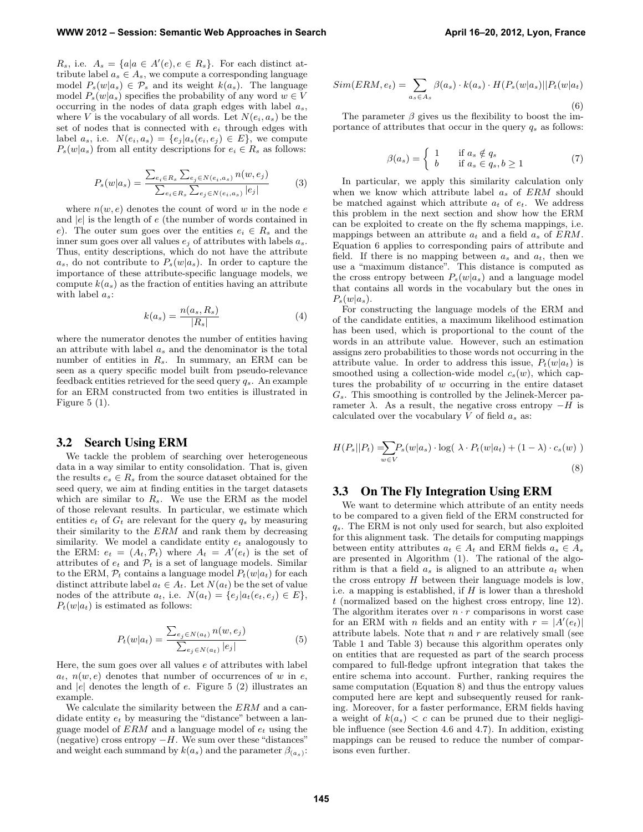#### **WWW 2012 – Session: Semantic Web Approaches in Search <b>April 16–20, 2012, Lyon, France**

 $R_s$ , i.e.  $A_s = \{a | a \in A'(e), e \in R_s\}$ . For each distinct attribute label  $a_s \in A_s$ , we compute a corresponding language model  $P_s(w|a_s) \in \mathcal{P}_s$  and its weight  $k(a_s)$ . The language model  $P_s(w|a_s)$  specifies the probability of any word  $w \in V$ occurring in the nodes of data graph edges with label  $a_s$ , where V is the vocabulary of all words. Let  $N(e_i, a_s)$  be the set of nodes that is connected with  $e_i$  through edges with label  $a_s$ , i.e.  $N(e_i, a_s) = \{e_j | a_s(e_i, e_j) \in E\}$ , we compute  $P_s(w|a_s)$  from all entity descriptions for  $e_i \in R_s$  as follows:

$$
P_s(w|a_s) = \frac{\sum_{e_i \in R_s} \sum_{e_j \in N(e_i, a_s)} n(w, e_j)}{\sum_{e_i \in R_s} \sum_{e_j \in N(e_i, a_s)} |e_j|}
$$
(3)

where  $n(w, e)$  denotes the count of word w in the node e and  $|e|$  is the length of  $e$  (the number of words contained in e). The outer sum goes over the entities  $e_i \in R_s$  and the inner sum goes over all values  $e_i$  of attributes with labels  $a_s$ . Thus, entity descriptions, which do not have the attribute  $a_s$ , do not contribute to  $P_s(w|a_s)$ . In order to capture the importance of these attribute-specific language models, we compute  $k(a_s)$  as the fraction of entities having an attribute with label  $a_s$ :

$$
k(a_s) = \frac{n(a_s, R_s)}{|R_s|} \tag{4}
$$

where the numerator denotes the number of entities having an attribute with label  $a_s$  and the denominator is the total number of entities in  $R_s$ . In summary, an ERM can be seen as a query specific model built from pseudo-relevance feedback entities retrieved for the seed query  $q_s$ . An example for an ERM constructed from two entities is illustrated in Figure 5 (1).

#### 3.2 Search Using ERM

We tackle the problem of searching over heterogeneous data in a way similar to entity consolidation. That is, given the results  $e_s \in R_s$  from the source dataset obtained for the seed query, we aim at finding entities in the target datasets which are similar to  $R_s$ . We use the ERM as the model of those relevant results. In particular, we estimate which entities  $e_t$  of  $G_t$  are relevant for the query  $q_s$  by measuring their similarity to the ERM and rank them by decreasing similarity. We model a candidate entity  $e_t$  analogously to the ERM:  $e_t = (A_t, \mathcal{P}_t)$  where  $A_t = A'(e_t)$  is the set of attributes of  $e_t$  and  $\mathcal{P}_t$  is a set of language models. Similar to the ERM,  $P_t$  contains a language model  $P_t(w|a_t)$  for each distinct attribute label  $a_t \in A_t$ . Let  $N(a_t)$  be the set of value nodes of the attribute  $a_t$ , i.e.  $N(a_t) = \{e_j | a_t(e_t, e_j) \in E\},\$  $P_t(w|a_t)$  is estimated as follows:

$$
P_t(w|a_t) = \frac{\sum_{e_j \in N(a_t)} n(w, e_j)}{\sum_{e_j \in N(a_t)} |e_j|}
$$
(5)

Here, the sum goes over all values  $e$  of attributes with label  $a_t$ ,  $n(w, e)$  denotes that number of occurrences of w in e, and  $|e|$  denotes the length of e. Figure 5 (2) illustrates an example.

We calculate the similarity between the  $ERM$  and a candidate entity  $e_t$  by measuring the "distance" between a language model of  $ERM$  and a language model of  $e_t$  using the (negative) cross entropy  $-H$ . We sum over these "distances" and weight each summand by  $k(a_s)$  and the parameter  $\beta_{(a_s)}$ :

$$
Sim(ERM, e_t) = \sum_{a_s \in A_s} \beta(a_s) \cdot k(a_s) \cdot H(P_s(w|a_s)||P_t(w|a_t))
$$
\n(6)

The parameter  $\beta$  gives us the flexibility to boost the importance of attributes that occur in the query  $q_s$  as follows:

$$
\beta(a_s) = \begin{cases} 1 & \text{if } a_s \notin q_s \\ b & \text{if } a_s \in q_s, b \ge 1 \end{cases}
$$
 (7)

In particular, we apply this similarity calculation only when we know which attribute label  $a_s$  of  $ERM$  should be matched against which attribute  $a_t$  of  $e_t$ . We address this problem in the next section and show how the ERM can be exploited to create on the fly schema mappings, i.e. mappings between an attribute  $a_t$  and a field  $a_s$  of ERM. Equation 6 applies to corresponding pairs of attribute and field. If there is no mapping between  $a_s$  and  $a_t$ , then we use a "maximum distance". This distance is computed as the cross entropy between  $P_s(w|a_s)$  and a language model that contains all words in the vocabulary but the ones in  $P_s(w|a_s)$ .

For constructing the language models of the ERM and of the candidate entities, a maximum likelihood estimation has been used, which is proportional to the count of the words in an attribute value. However, such an estimation assigns zero probabilities to those words not occurring in the attribute value. In order to address this issue,  $P_t(w|a_t)$  is smoothed using a collection-wide model  $c_s(w)$ , which captures the probability of w occurring in the entire dataset  $G_s$ . This smoothing is controlled by the Jelinek-Mercer parameter  $\lambda$ . As a result, the negative cross entropy  $-H$  is calculated over the vocabulary V of field  $a_s$  as:

$$
H(P_s||P_t) = \sum_{w \in V} P_s(w|a_s) \cdot \log(\lambda \cdot P_t(w|a_t) + (1 - \lambda) \cdot c_s(w))
$$
\n(8)

# 3.3 On The Fly Integration Using ERM

We want to determine which attribute of an entity needs to be compared to a given field of the ERM constructed for  $q_s$ . The ERM is not only used for search, but also exploited for this alignment task. The details for computing mappings between entity attributes  $a_t \in A_t$  and ERM fields  $a_s \in A_s$ are presented in Algorithm (1). The rational of the algorithm is that a field  $a_s$  is aligned to an attribute  $a_t$  when the cross entropy  $H$  between their language models is low, i.e. a mapping is established, if  $H$  is lower than a threshold t (normalized based on the highest cross entropy, line 12). The algorithm iterates over  $n \cdot r$  comparisons in worst case for an ERM with *n* fields and an entity with  $r = |A'(e_t)|$ attribute labels. Note that  $n$  and  $r$  are relatively small (see Table 1 and Table 3) because this algorithm operates only on entities that are requested as part of the search process compared to full-fledge upfront integration that takes the entire schema into account. Further, ranking requires the same computation (Equation 8) and thus the entropy values computed here are kept and subsequently reused for ranking. Moreover, for a faster performance, ERM fields having a weight of  $k(a_s) < c$  can be pruned due to their negligible influence (see Section 4.6 and 4.7). In addition, existing mappings can be reused to reduce the number of comparisons even further.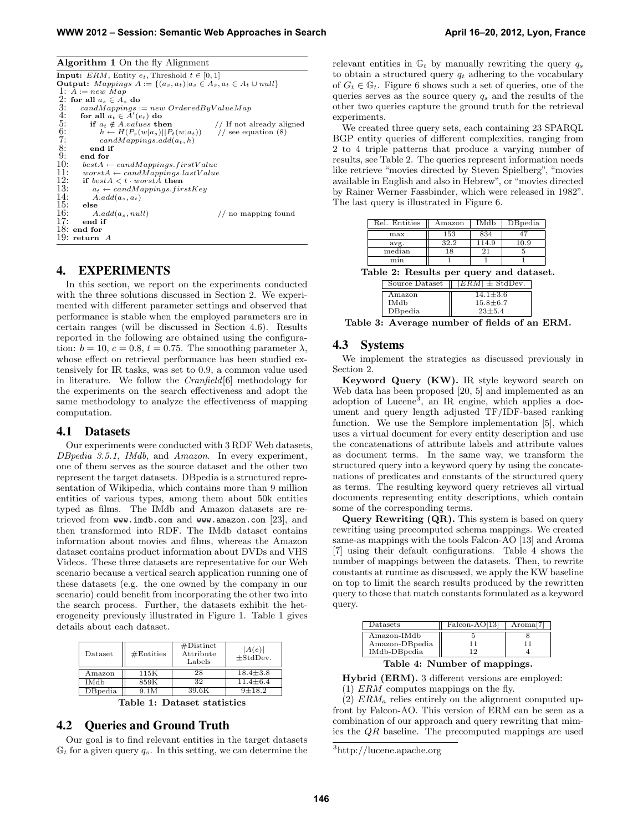Algorithm 1 On the fly Alignment

| $\cdots$                                                                           |                           |  |  |
|------------------------------------------------------------------------------------|---------------------------|--|--|
| <b>Input:</b> ERM, Entity $e_t$ , Threshold $t \in [0, 1]$                         |                           |  |  |
| <b>Output:</b> Mappings $A := \{(a_s, a_t)   a_s \in A_s, a_t \in A_t \cup null\}$ |                           |  |  |
| 1: $A := new Map$                                                                  |                           |  |  |
| 2: for all $a_s \in A_s$ do                                                        |                           |  |  |
| 3:<br>$cand Mappings := new~OrderedByValueMap$                                     |                           |  |  |
| 4:<br>for all $a_t \in A'(e_t)$ do                                                 |                           |  |  |
| 5:<br>if $a_t \notin A.values$ then                                                | // If not already aligned |  |  |
| $rac{6}{7}$<br>$h \leftarrow H(P_s(w a_s)  P_t(w a_t))$ // see equation (8)        |                           |  |  |
| $cand Mappings.add(a_t, h)$                                                        |                           |  |  |
| 8:<br>end if                                                                       |                           |  |  |
| 9:<br>end for                                                                      |                           |  |  |
| 10:<br>$bestA \leftarrow candMappings.firstValue$                                  |                           |  |  |
| 11:<br>$worstA \leftarrow candMappings. lastValue$                                 |                           |  |  |
| 12:<br>if $bestA < t \cdot worstA$ then                                            |                           |  |  |
| 13:<br>$a_t \leftarrow \text{cand} \text{Mappings}.$ first Key                     |                           |  |  |
| 14:<br>$A.add(a_s, a_t)$                                                           |                           |  |  |
| 15:<br>else                                                                        |                           |  |  |
| 16:<br>$A.add(a_s, null)$                                                          | no mapping found          |  |  |
| 17:<br>end if                                                                      |                           |  |  |
| $18:$ end for                                                                      |                           |  |  |
| 19: return $A$                                                                     |                           |  |  |
|                                                                                    |                           |  |  |

## 4. EXPERIMENTS

In this section, we report on the experiments conducted with the three solutions discussed in Section 2. We experimented with different parameter settings and observed that performance is stable when the employed parameters are in certain ranges (will be discussed in Section 4.6). Results reported in the following are obtained using the configuration:  $b = 10$ ,  $c = 0.8$ ,  $t = 0.75$ . The smoothing parameter  $\lambda$ , whose effect on retrieval performance has been studied extensively for IR tasks, was set to 0.9, a common value used in literature. We follow the Cranfield[6] methodology for the experiments on the search effectiveness and adopt the same methodology to analyze the effectiveness of mapping computation.

### 4.1 Datasets

Our experiments were conducted with 3 RDF Web datasets, DBpedia 3.5.1, IMdb, and Amazon. In every experiment, one of them serves as the source dataset and the other two represent the target datasets. DBpedia is a structured representation of Wikipedia, which contains more than 9 million entities of various types, among them about 50k entities typed as films. The IMdb and Amazon datasets are retrieved from www.imdb.com and www.amazon.com [23], and then transformed into RDF. The IMdb dataset contains information about movies and films, whereas the Amazon dataset contains product information about DVDs and VHS Videos. These three datasets are representative for our Web scenario because a vertical search application running one of these datasets (e.g. the one owned by the company in our scenario) could benefit from incorporating the other two into the search process. Further, the datasets exhibit the heterogeneity previously illustrated in Figure 1. Table 1 gives details about each dataset.

| Dataset     | #Entities | #Distinct<br>Attribute<br>Labels | A(e) <br>$\pm$ StdDev. |
|-------------|-----------|----------------------------------|------------------------|
| Amazon      | 115K      | 28                               | $18.4 \pm 3.8$         |
| <b>IMdb</b> | 859K      | 32                               | $11.4 \pm 6.4$         |
| DBpedia     | 9.1M      | 39.6K                            | $9+18.2$               |

Table 1: Dataset statistics

# 4.2 Queries and Ground Truth

Our goal is to find relevant entities in the target datasets  $\mathbb{G}_t$  for a given query  $q_s$ . In this setting, we can determine the relevant entities in  $\mathbb{G}_t$  by manually rewriting the query  $q_s$ to obtain a structured query  $q_t$  adhering to the vocabulary of  $G_t \in \mathbb{G}_t$ . Figure 6 shows such a set of queries, one of the queries serves as the source query  $q_s$  and the results of the other two queries capture the ground truth for the retrieval experiments.

We created three query sets, each containing 23 SPARQL BGP entity queries of different complexities, ranging from 2 to 4 triple patterns that produce a varying number of results, see Table 2. The queries represent information needs like retrieve "movies directed by Steven Spielberg", "movies available in English and also in Hebrew", or "movies directed by Rainer Werner Fassbinder, which were released in 1982". The last query is illustrated in Figure 6.

| Rel. Entities | Amazon | IMdb  | DBpedia |
|---------------|--------|-------|---------|
|               |        |       |         |
| max           | 153    | 834   |         |
| avg.          | 32.2   | 114.9 | 10.9    |
| median        | 18     |       |         |
| min           |        |       |         |
|               |        |       |         |

Table 2: Results per query and dataset.

| Source Dataset | $\pm$ StdDev.<br>ERMI |
|----------------|-----------------------|
| Amazon         | $14.1 \pm 3.6$        |
| IMdh           | $15.8 \pm 6.7$        |
| $DB$ pedia     | $23 + 5.4$            |

Table 3: Average number of fields of an ERM.

#### 4.3 Systems

We implement the strategies as discussed previously in Section 2.

Keyword Query (KW). IR style keyword search on Web data has been proposed [20, 5] and implemented as an adoption of Lucene<sup>3</sup>, an IR engine, which applies a document and query length adjusted TF/IDF-based ranking function. We use the Semplore implementation [5], which uses a virtual document for every entity description and use the concatenations of attribute labels and attribute values as document terms. In the same way, we transform the structured query into a keyword query by using the concatenations of predicates and constants of the structured query as terms. The resulting keyword query retrieves all virtual documents representing entity descriptions, which contain some of the corresponding terms.

Query Rewriting (QR). This system is based on query rewriting using precomputed schema mappings. We created same-as mappings with the tools Falcon-AO [13] and Aroma [7] using their default configurations. Table 4 shows the number of mappings between the datasets. Then, to rewrite constants at runtime as discussed, we apply the KW baseline on top to limit the search results produced by the rewritten query to those that match constants formulated as a keyword query.

| $\mathop{\rm Datasets}\nolimits$ | Falcon-AO[13] | Aroma <sub>17</sub> |
|----------------------------------|---------------|---------------------|
| $A$ mazon-I $M$ db               |               |                     |
| Amazon-DBpedia                   |               |                     |
| IMdb-DBpedia                     |               |                     |
|                                  |               |                     |

Table 4: Number of mappings.

Hybrid (ERM). 3 different versions are employed: (1) ERM computes mappings on the fly.

(2)  $ERM_a$  relies entirely on the alignment computed upfront by Falcon-AO. This version of ERM can be seen as a combination of our approach and query rewriting that mimics the QR baseline. The precomputed mappings are used

<sup>3</sup>http://lucene.apache.org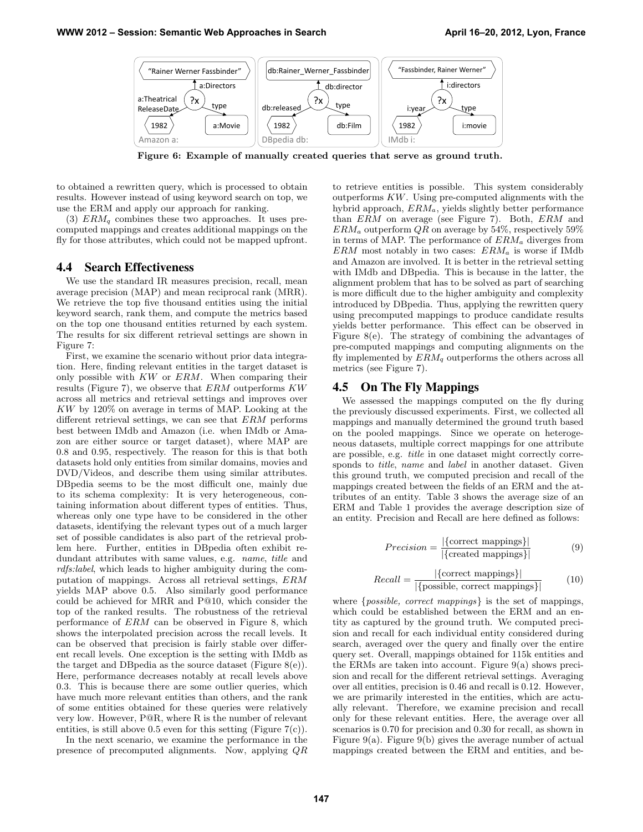

Figure 6: Example of manually created queries that serve as ground truth.

to obtained a rewritten query, which is processed to obtain results. However instead of using keyword search on top, we use the ERM and apply our approach for ranking.

(3)  $ERM_q$  combines these two approaches. It uses precomputed mappings and creates additional mappings on the fly for those attributes, which could not be mapped upfront.

# 4.4 Search Effectiveness

We use the standard IR measures precision, recall, mean average precision (MAP) and mean reciprocal rank (MRR). We retrieve the top five thousand entities using the initial keyword search, rank them, and compute the metrics based on the top one thousand entities returned by each system. The results for six different retrieval settings are shown in Figure 7:

First, we examine the scenario without prior data integration. Here, finding relevant entities in the target dataset is only possible with  $KW$  or  $ERM$ . When comparing their results (Figure 7), we observe that  $ERM$  outperforms  $KW$ across all metrics and retrieval settings and improves over KW by 120% on average in terms of MAP. Looking at the different retrieval settings, we can see that ERM performs best between IMdb and Amazon (i.e. when IMdb or Amazon are either source or target dataset), where MAP are 0.8 and 0.95, respectively. The reason for this is that both datasets hold only entities from similar domains, movies and DVD/Videos, and describe them using similar attributes. DBpedia seems to be the most difficult one, mainly due to its schema complexity: It is very heterogeneous, containing information about different types of entities. Thus, whereas only one type have to be considered in the other datasets, identifying the relevant types out of a much larger set of possible candidates is also part of the retrieval problem here. Further, entities in DBpedia often exhibit redundant attributes with same values, e.g. name, title and rdfs:label, which leads to higher ambiguity during the computation of mappings. Across all retrieval settings, ERM yields MAP above 0.5. Also similarly good performance could be achieved for MRR and P@10, which consider the top of the ranked results. The robustness of the retrieval performance of ERM can be observed in Figure 8, which shows the interpolated precision across the recall levels. It can be observed that precision is fairly stable over different recall levels. One exception is the setting with IMdb as the target and DB pedia as the source dataset (Figure  $8(e)$ ). Here, performance decreases notably at recall levels above 0.3. This is because there are some outlier queries, which have much more relevant entities than others, and the rank of some entities obtained for these queries were relatively very low. However, P@R, where R is the number of relevant entities, is still above 0.5 even for this setting (Figure  $7(c)$ ).

In the next scenario, we examine the performance in the presence of precomputed alignments. Now, applying QR to retrieve entities is possible. This system considerably outperforms  $KW$ . Using pre-computed alignments with the hybrid approach, ERMa, yields slightly better performance than ERM on average (see Figure 7). Both, ERM and  $ERM_a$  outperform  $QR$  on average by 54%, respectively 59% in terms of MAP. The performance of  $ERM_{a}$  diverges from  $ERM$  most notably in two cases:  $ERM_a$  is worse if IMdb and Amazon are involved. It is better in the retrieval setting with IMdb and DBpedia. This is because in the latter, the alignment problem that has to be solved as part of searching is more difficult due to the higher ambiguity and complexity introduced by DBpedia. Thus, applying the rewritten query using precomputed mappings to produce candidate results yields better performance. This effect can be observed in Figure 8(e). The strategy of combining the advantages of pre-computed mappings and computing alignments on the fly implemented by  $ERM_q$  outperforms the others across all metrics (see Figure 7).

# 4.5 On The Fly Mappings

We assessed the mappings computed on the fly during the previously discussed experiments. First, we collected all mappings and manually determined the ground truth based on the pooled mappings. Since we operate on heterogeneous datasets, multiple correct mappings for one attribute are possible, e.g. title in one dataset might correctly corresponds to *title*, *name* and *label* in another dataset. Given this ground truth, we computed precision and recall of the mappings created between the fields of an ERM and the attributes of an entity. Table 3 shows the average size of an ERM and Table 1 provides the average description size of an entity. Precision and Recall are here defined as follows:

$$
Precision = \frac{|\{\text{correct mappings}\}|}{|\{\text{created mappings}\}\}|}\tag{9}
$$

$$
Recall = \frac{|\{\text{correct mappings}\}|}{|\{\text{possible, correct mappings}\}\}|
$$
(10)

where {possible, correct mappings} is the set of mappings, which could be established between the ERM and an entity as captured by the ground truth. We computed precision and recall for each individual entity considered during search, averaged over the query and finally over the entire query set. Overall, mappings obtained for 115k entities and the ERMs are taken into account. Figure  $9(a)$  shows precision and recall for the different retrieval settings. Averaging over all entities, precision is 0.46 and recall is 0.12. However, we are primarily interested in the entities, which are actually relevant. Therefore, we examine precision and recall only for these relevant entities. Here, the average over all scenarios is 0.70 for precision and 0.30 for recall, as shown in Figure 9(a). Figure 9(b) gives the average number of actual mappings created between the ERM and entities, and be-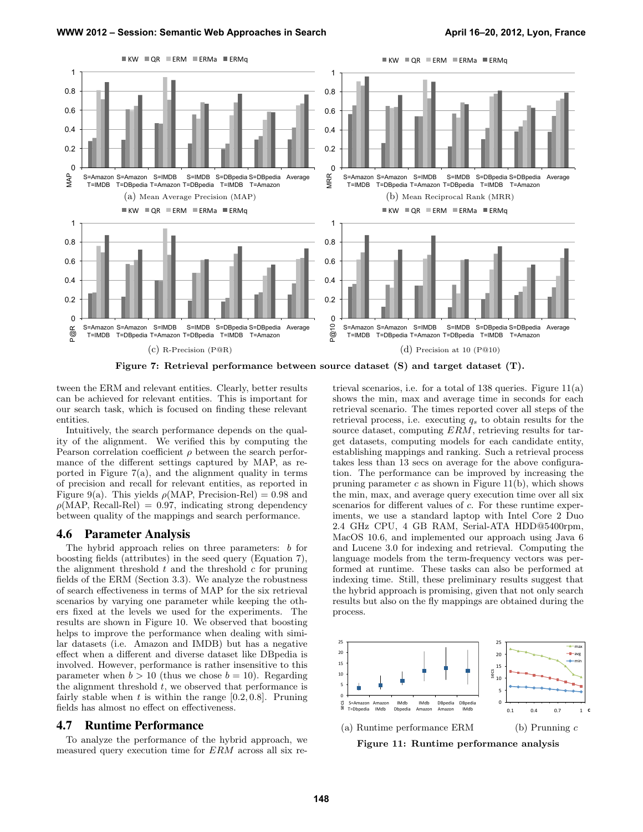

Figure 7: Retrieval performance between source dataset (S) and target dataset (T).

tween the ERM and relevant entities. Clearly, better results can be achieved for relevant entities. This is important for our search task, which is focused on finding these relevant entities.

Intuitively, the search performance depends on the quality of the alignment. We verified this by computing the Pearson correlation coefficient  $\rho$  between the search performance of the different settings captured by MAP, as reported in Figure 7(a), and the alignment quality in terms of precision and recall for relevant entities, as reported in Figure 9(a). This yields  $\rho(MAP, Precision-Rel) = 0.98$  and  $\rho(MAP, Recall-Rel) = 0.97$ , indicating strong dependency between quality of the mappings and search performance.

#### 4.6 Parameter Analysis

The hybrid approach relies on three parameters: b for boosting fields (attributes) in the seed query (Equation 7), the alignment threshold  $t$  and the threshold  $c$  for pruning fields of the ERM (Section 3.3). We analyze the robustness of search effectiveness in terms of MAP for the six retrieval scenarios by varying one parameter while keeping the others fixed at the levels we used for the experiments. The results are shown in Figure 10. We observed that boosting helps to improve the performance when dealing with similar datasets (i.e. Amazon and IMDB) but has a negative effect when a different and diverse dataset like DBpedia is involved. However, performance is rather insensitive to this parameter when  $b > 10$  (thus we chose  $b = 10$ ). Regarding the alignment threshold  $t$ , we observed that performance is fairly stable when  $t$  is within the range  $[0.2, 0.8]$ . Pruning fields has almost no effect on effectiveness.

#### 4.7 Runtime Performance

To analyze the performance of the hybrid approach, we measured query execution time for ERM across all six retrieval scenarios, i.e. for a total of 138 queries. Figure 11(a) shows the min, max and average time in seconds for each retrieval scenario. The times reported cover all steps of the retrieval process, i.e. executing  $q_s$  to obtain results for the source dataset, computing ERM, retrieving results for target datasets, computing models for each candidate entity, establishing mappings and ranking. Such a retrieval process takes less than 13 secs on average for the above configuration. The performance can be improved by increasing the pruning parameter  $c$  as shown in Figure 11(b), which shows the min, max, and average query execution time over all six scenarios for different values of c. For these runtime experiments, we use a standard laptop with Intel Core 2 Duo 2.4 GHz CPU, 4 GB RAM, Serial-ATA HDD@5400rpm, MacOS 10.6, and implemented our approach using Java 6 and Lucene 3.0 for indexing and retrieval. Computing the language models from the term-frequency vectors was performed at runtime. These tasks can also be performed at indexing time. Still, these preliminary results suggest that the hybrid approach is promising, given that not only search results but also on the fly mappings are obtained during the process.



Figure 11: Runtime performance analysis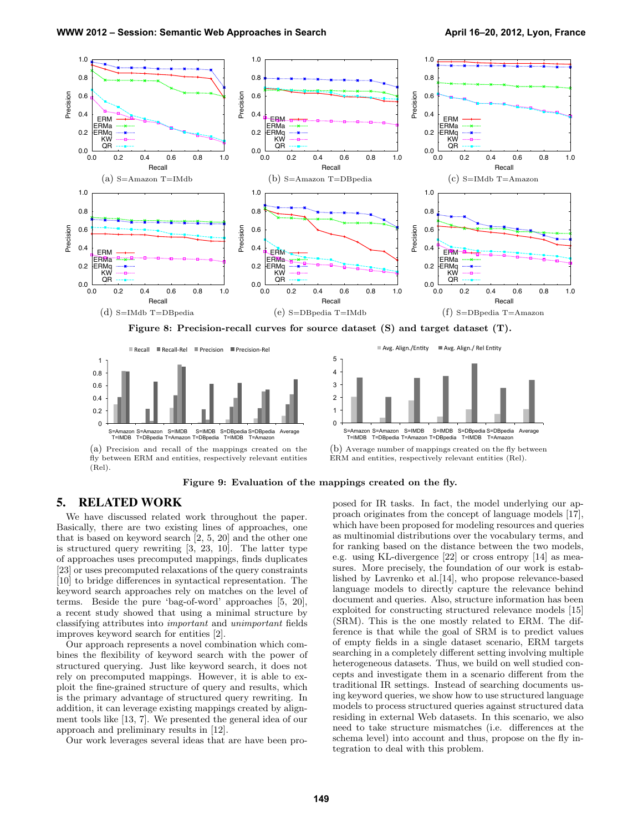



 $\blacksquare$  Avg. Align./Entity  $\blacksquare$  Avg. Align./ Rel Entity



fly between ERM and entities, respectively relevant entities (Rel).

Average number of mappings created on the fly between ERM and entities, respectively relevant entities (Rel).

Figure 9: Evaluation of the mappings created on the fly.

# 5. RELATED WORK

We have discussed related work throughout the paper. Basically, there are two existing lines of approaches, one that is based on keyword search [2, 5, 20] and the other one is structured query rewriting [3, 23, 10]. The latter type of approaches uses precomputed mappings, finds duplicates [23] or uses precomputed relaxations of the query constraints [10] to bridge differences in syntactical representation. The keyword search approaches rely on matches on the level of terms. Beside the pure 'bag-of-word' approaches [5, 20], a recent study showed that using a minimal structure by classifying attributes into important and unimportant fields improves keyword search for entities [2].

Our approach represents a novel combination which combines the flexibility of keyword search with the power of structured querying. Just like keyword search, it does not rely on precomputed mappings. However, it is able to exploit the fine-grained structure of query and results, which is the primary advantage of structured query rewriting. In addition, it can leverage existing mappings created by alignment tools like [13, 7]. We presented the general idea of our approach and preliminary results in [12].

Our work leverages several ideas that are have been pro-

posed for IR tasks. In fact, the model underlying our approach originates from the concept of language models [17], which have been proposed for modeling resources and queries as multinomial distributions over the vocabulary terms, and for ranking based on the distance between the two models, e.g. using KL-divergence [22] or cross entropy [14] as measures. More precisely, the foundation of our work is established by Lavrenko et al.[14], who propose relevance-based language models to directly capture the relevance behind document and queries. Also, structure information has been exploited for constructing structured relevance models [15] (SRM). This is the one mostly related to ERM. The difference is that while the goal of SRM is to predict values of empty fields in a single dataset scenario, ERM targets searching in a completely different setting involving multiple heterogeneous datasets. Thus, we build on well studied concepts and investigate them in a scenario different from the traditional IR settings. Instead of searching documents using keyword queries, we show how to use structured language models to process structured queries against structured data residing in external Web datasets. In this scenario, we also need to take structure mismatches (i.e. differences at the schema level) into account and thus, propose on the fly integration to deal with this problem.